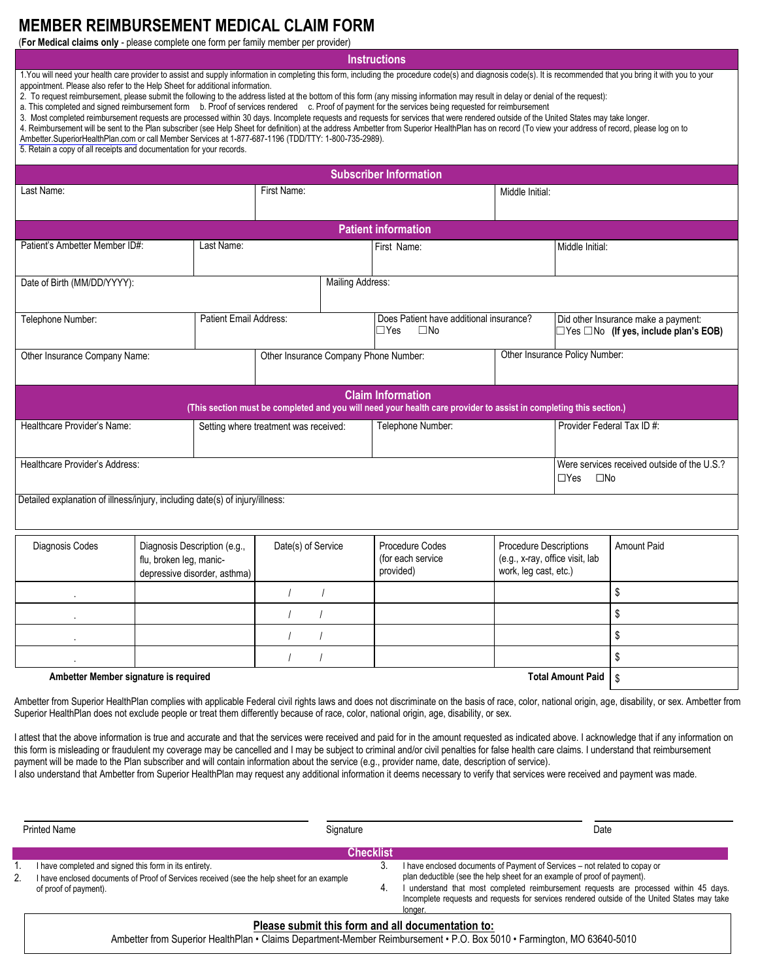## **MEMBER REIMBURSEMENT MEDICAL CLAIM FORM**

(**For Medical claims only** - please complete one form per family member per provider)

**Instructions** 

 appointment. Please also refer to the Help Sheet for additional information. 1.You will need your health care provider to assist and supply information in completing this form, including the procedure code(s) and diagnosis code(s). It is recommended that you bring it with you to your

2. To request reimbursement, please submit the following to the address listed at the bottom of this form (any missing information may result in delay or denial of the request):

a. This completed and signed reimbursement form b. Proof of services rendered c. Proof of payment for the services being requested for reimbursement

3. Most completed reimbursement requests are processed within 30 days. Incomplete requests and requests for services that were rendered outside of the United States may take longer.

 4. Reimbursement will be sent to the Plan subscriber (see Help Sheet for definition) at the address Ambetter from Superior HealthPlan has on record (To view your address of record, please log on to [Ambetter.SuperiorHealthPlan.com](http://Ambetter.SuperiorHealthPlan.com) or call Member Services at 1-877-687-1196 (TDD/TTY: 1-800-735-2989).

5. Retain a copy of all receipts and documentation for your records.

|                                                                                                                                                |                                                                                         |                                       |                    |                   | <b>Subscriber Information</b>                     |                                                                                           |                 |                                                                                          |  |
|------------------------------------------------------------------------------------------------------------------------------------------------|-----------------------------------------------------------------------------------------|---------------------------------------|--------------------|-------------------|---------------------------------------------------|-------------------------------------------------------------------------------------------|-----------------|------------------------------------------------------------------------------------------|--|
| Last Name:                                                                                                                                     |                                                                                         |                                       | First Name:        |                   |                                                   | Middle Initial:                                                                           |                 |                                                                                          |  |
| <b>Patient information</b>                                                                                                                     |                                                                                         |                                       |                    |                   |                                                   |                                                                                           |                 |                                                                                          |  |
| Patient's Ambetter Member ID#:<br>Last Name:                                                                                                   |                                                                                         |                                       |                    |                   | First Name:                                       |                                                                                           | Middle Initial: |                                                                                          |  |
| Mailing Address:<br>Date of Birth (MM/DD/YYYY):                                                                                                |                                                                                         |                                       |                    |                   |                                                   |                                                                                           |                 |                                                                                          |  |
| Patient Email Address:<br>Telephone Number:                                                                                                    |                                                                                         |                                       |                    |                   | $\Box$ Yes<br>$\square$ No                        | Does Patient have additional insurance?                                                   |                 | Did other Insurance make a payment:<br>$\Box$ Yes $\Box$ No (If yes, include plan's EOB) |  |
| Other Insurance Company Name:                                                                                                                  |                                                                                         | Other Insurance Company Phone Number: |                    |                   |                                                   | Other Insurance Policy Number:                                                            |                 |                                                                                          |  |
| <b>Claim Information</b><br>(This section must be completed and you will need your health care provider to assist in completing this section.) |                                                                                         |                                       |                    |                   |                                                   |                                                                                           |                 |                                                                                          |  |
| Healthcare Provider's Name:                                                                                                                    |                                                                                         | Setting where treatment was received: |                    | Telephone Number: |                                                   | Provider Federal Tax ID #:                                                                |                 |                                                                                          |  |
| Healthcare Provider's Address:<br>$\Box$ Yes<br>$\square$ No                                                                                   |                                                                                         |                                       |                    |                   |                                                   |                                                                                           |                 | Were services received outside of the U.S.?                                              |  |
| Detailed explanation of illness/injury, including date(s) of injury/illness:                                                                   |                                                                                         |                                       |                    |                   |                                                   |                                                                                           |                 |                                                                                          |  |
| Diagnosis Codes                                                                                                                                | Diagnosis Description (e.g.,<br>flu, broken leg, manic-<br>depressive disorder, asthma) |                                       | Date(s) of Service |                   | Procedure Codes<br>(for each service<br>provided) | <b>Procedure Descriptions</b><br>(e.g., x-ray, office visit, lab<br>work, leg cast, etc.) |                 | <b>Amount Paid</b>                                                                       |  |
|                                                                                                                                                |                                                                                         |                                       |                    |                   |                                                   |                                                                                           |                 | \$                                                                                       |  |
| $\sim$                                                                                                                                         |                                                                                         |                                       |                    |                   |                                                   |                                                                                           | \$              |                                                                                          |  |
|                                                                                                                                                |                                                                                         |                                       |                    |                   |                                                   |                                                                                           |                 | \$                                                                                       |  |
|                                                                                                                                                |                                                                                         |                                       |                    |                   |                                                   |                                                                                           |                 | \$                                                                                       |  |
| <b>Total Amount Paid</b><br>Ambetter Member signature is required                                                                              |                                                                                         |                                       |                    |                   |                                                   |                                                                                           | \$              |                                                                                          |  |

 Superior HealthPlan does not exclude people or treat them differently because of race, color, national origin, age, disability, or sex. Ambetter from Superior HealthPlan complies with applicable Federal civil rights laws and does not discriminate on the basis of race, color, national origin, age, disability, or sex. Ambetter from

 this form is misleading or fraudulent my coverage may be cancelled and I may be subject to criminal and/or civil penalties for false health care claims. I understand that reimbursement payment will be made to the Plan subscriber and will contain information about the service (e.g., provider name, date, description of service). I attest that the above information is true and accurate and that the services were received and paid for in the amount requested as indicated above. I acknowledge that if any information on

I also understand that Ambetter from Superior HealthPlan may request any additional information it deems necessary to verify that services were received and payment was made.

|    | <b>Printed Name</b><br>Signature                                                                                                                     |                  | Date                                                                                                                                                                                           |  |
|----|------------------------------------------------------------------------------------------------------------------------------------------------------|------------------|------------------------------------------------------------------------------------------------------------------------------------------------------------------------------------------------|--|
|    |                                                                                                                                                      | <b>Checklist</b> |                                                                                                                                                                                                |  |
|    | I have completed and signed this form in its entirety.<br>I have enclosed documents of Proof of Services received (see the help sheet for an example | 3                | I have enclosed documents of Payment of Services – not related to copay or<br>plan deductible (see the help sheet for an example of proof of payment).                                         |  |
| 2. | of proof of payment).                                                                                                                                | 4.               | understand that most completed reimbursement requests are processed within 45 days.<br>Incomplete requests and requests for services rendered outside of the United States may take<br>longer. |  |
|    | Please submit this form and all documentation to:                                                                                                    |                  |                                                                                                                                                                                                |  |

Ambetter from Superior HealthPlan • Claims Department-Member Reimbursement • P.O. Box 5010 • Farmington, MO 63640-5010